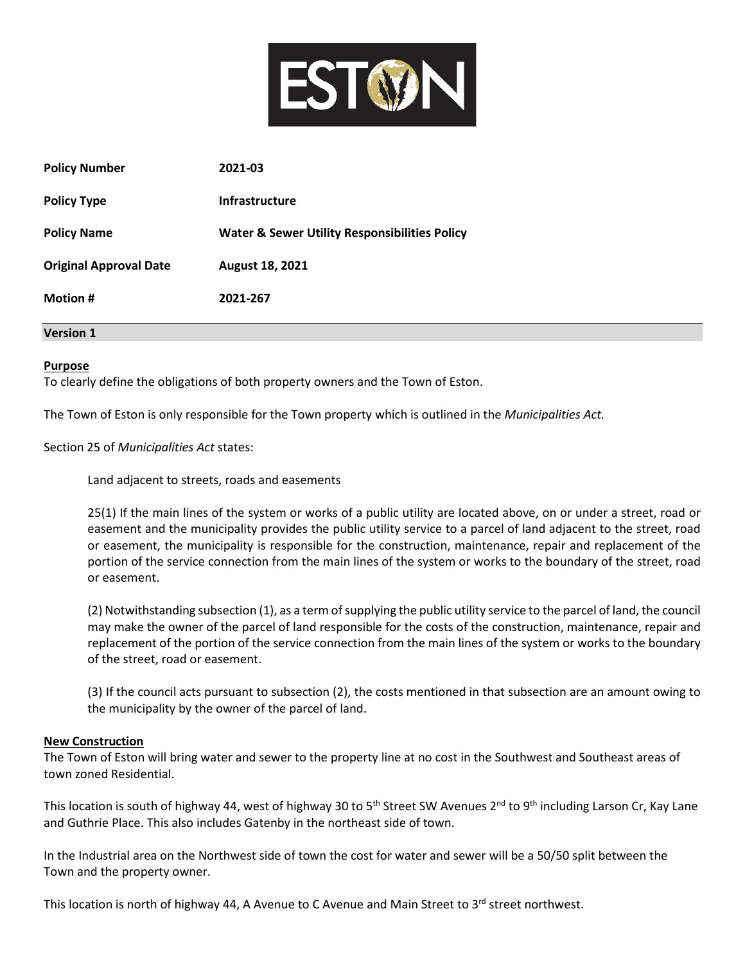

| 2021-03                                                  |
|----------------------------------------------------------|
| <b>Infrastructure</b>                                    |
| <b>Water &amp; Sewer Utility Responsibilities Policy</b> |
| August 18, 2021                                          |
| 2021-267                                                 |
|                                                          |

### **Version 1**

### **Purpose**

To clearly define the obligations of both property owners and the Town of Eston.

The Town of Eston is only responsible for the Town property which is outlined in the *Municipalities Act.*

Section 25 of *Municipalities Act* states:

Land adjacent to streets, roads and easements

25(1) If the main lines of the system or works of a public utility are located above, on or under a street, road or easement and the municipality provides the public utility service to a parcel of land adjacent to the street, road or easement, the municipality is responsible for the construction, maintenance, repair and replacement of the portion of the service connection from the main lines of the system or works to the boundary of the street, road or easement.

(2) Notwithstanding subsection (1), as a term of supplying the public utility service to the parcel of land, the council may make the owner of the parcel of land responsible for the costs of the construction, maintenance, repair and replacement of the portion of the service connection from the main lines of the system or works to the boundary of the street, road or easement.

(3) If the council acts pursuant to subsection (2), the costs mentioned in that subsection are an amount owing to the municipality by the owner of the parcel of land.

### **New Construction**

The Town of Eston will bring water and sewer to the property line at no cost in the Southwest and Southeast areas of town zoned Residential.

This location is south of highway 44, west of highway 30 to 5<sup>th</sup> Street SW Avenues 2<sup>nd</sup> to 9<sup>th</sup> including Larson Cr, Kay Lane and Guthrie Place. This also includes Gatenby in the northeast side of town.

In the Industrial area on the Northwest side of town the cost for water and sewer will be a 50/50 split between the Town and the property owner.

This location is north of highway 44, A Avenue to C Avenue and Main Street to 3rd street northwest.